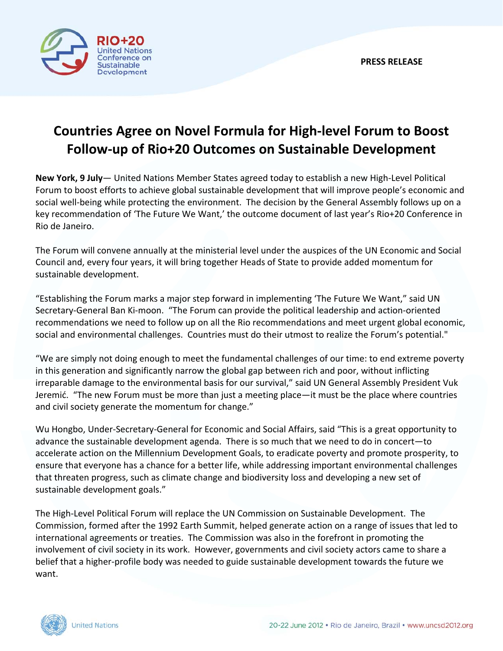

## **Countries Agree on Novel Formula for High‐level Forum to Boost Follow‐up of Rio+20 Outcomes on Sustainable Development**

**New York, 9 July**— United Nations Member States agreed today to establish a new High‐Level Political Forum to boost efforts to achieve global sustainable development that will improve people's economic and social well-being while protecting the environment. The decision by the General Assembly follows up on a key recommendation of 'The Future We Want,' the outcome document of last year's Rio+20 Conference in Rio de Janeiro.

The Forum will convene annually at the ministerial level under the auspices of the UN Economic and Social Council and, every four years, it will bring together Heads of State to provide added momentum for sustainable development.

"Establishing the Forum marks a major step forward in implementing 'The Future We Want," said UN Secretary‐General Ban Ki‐moon. "The Forum can provide the political leadership and action‐oriented recommendations we need to follow up on all the Rio recommendations and meet urgent global economic, social and environmental challenges. Countries must do their utmost to realize the Forum's potential."

"We are simply not doing enough to meet the fundamental challenges of our time: to end extreme poverty in this generation and significantly narrow the global gap between rich and poor, without inflicting irreparable damage to the environmental basis for our survival," said UN General Assembly President Vuk Jeremić. "The new Forum must be more than just a meeting place—it must be the place where countries and civil society generate the momentum for change."

Wu Hongbo, Under‐Secretary‐General for Economic and Social Affairs, said "This is a great opportunity to advance the sustainable development agenda. There is so much that we need to do in concert—to accelerate action on the Millennium Development Goals, to eradicate poverty and promote prosperity, to ensure that everyone has a chance for a better life, while addressing important environmental challenges that threaten progress, such as climate change and biodiversity loss and developing a new set of sustainable development goals."

The High‐Level Political Forum will replace the UN Commission on Sustainable Development. The Commission, formed after the 1992 Earth Summit, helped generate action on a range of issues that led to international agreements or treaties. The Commission was also in the forefront in promoting the involvement of civil society in its work. However, governments and civil society actors came to share a belief that a higher-profile body was needed to guide sustainable development towards the future we want.